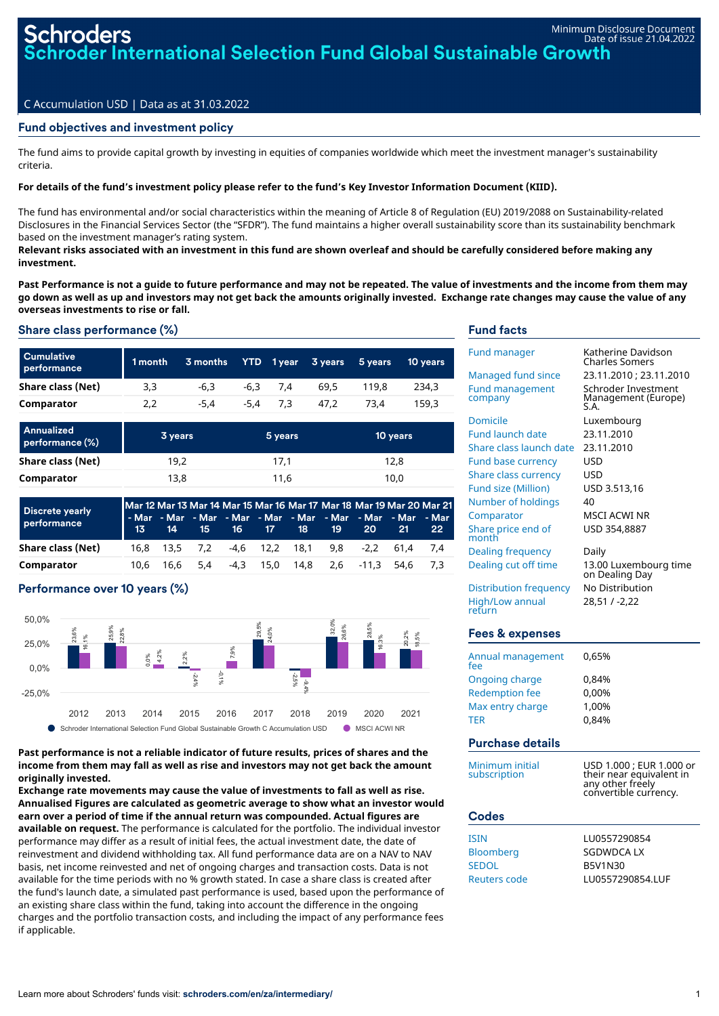## Fund objectives and investment policy

The fund aims to provide capital growth by investing in equities of companies worldwide which meet the investment manager's sustainability criteria.

## For details of the fund's investment policy please refer to the fund's Key Investor Information Document (KIID).

The fund has environmental and/or social characteristics within the meaning of Article 8 of Regulation (EU) 2019/2088 on Sustainability-related Disclosures in the Financial Services Sector (the "SFDR"). The fund maintains a higher overall sustainability score than its sustainability benchmark based on the investment manager's rating system.

Relevant risks associated with an investment in this fund are shown overleaf and should be carefully considered before making any **investment.**

Past Performance is not a quide to future performance and may not be repeated. The value of investments and the income from them may go down as well as up and investors may not get back the amounts originally invested. Exchange rate changes may cause the value of any **overseas investments to rise or fall.**

# Share class performance (%)

| <b>Cumulative</b><br>performance | 1 month | 3 months | YTD  | 1 year     | 3 years | 5 years | 10 years |
|----------------------------------|---------|----------|------|------------|---------|---------|----------|
| Share class (Net)                | 3,3     | $-6.3$   | -6.3 | 7.4        | 69.5    | 119.8   | 234,3    |
| Comparator                       | 2,2     | $-5.4$   |      | $-5.4$ 7.3 | 47.2    | 73.4    | 159.3    |
|                                  |         |          |      |            |         |         |          |

| Annualized<br>performance (%) | 3 years | 5 years | 10 years |
|-------------------------------|---------|---------|----------|
| Share class (Net)             | 19,2    | 17.1    | 12.8     |
| Comparator                    | 13,8    | 11,6    | 10,0     |

| <b>Discrete yearly</b><br>performance |           |  | 13 14 15 16 17 18 | .19 | <b>20</b> | Mar 12 Mar 13 Mar 14 Mar 15 Mar 16 Mar 17 Mar 18 Mar 19 Mar 20 Mar 21<br>- Mar - Mar - Mar - Mar - Mar - Mar - Mar - Mar - Mar - Mar - Mar<br>-21. | 22 <sub>2</sub> |
|---------------------------------------|-----------|--|-------------------|-----|-----------|----------------------------------------------------------------------------------------------------------------------------------------------------|-----------------|
| Share class (Net)                     |           |  |                   |     |           | 16,8 13,5 7,2 -4,6 12,2 18,1 9,8 -2,2 61,4 7,4                                                                                                     |                 |
| Comparator                            | 10.6 16.6 |  |                   |     |           | 5.4 -4.3 15.0 14.8 2.6 -11.3 54.6 7.3                                                                                                              |                 |

# Performance over 10 years (%)



### **Past performance is not a reliable indicator of future results, prices of shares and the income from them may fall as well as rise and investors may not get back the amount originally invested.**

**Exchange rate movements may cause the value of investments to fall as well as rise. Annualised Figures are calculated as geometric average to show what an investor would earn over a period of time if the annual return was compounded. Actual figures are available on request.** The performance is calculated for the portfolio. The individual investor performance may differ as a result of initial fees, the actual investment date, the date of reinvestment and dividend withholding tax. All fund performance data are on a NAV to NAV basis, net income reinvested and net of ongoing charges and transaction costs. Data is not available for the time periods with no % growth stated. In case a share class is created after the fund's launch date, a simulated past performance is used, based upon the performance of an existing share class within the fund, taking into account the difference in the ongoing charges and the portfolio transaction costs, and including the impact of any performance fees if applicable.

### Fund facts

| <b>Fund manager</b><br><b>Managed fund since</b><br><b>Fund management</b><br>company<br>Domicile<br><b>Fund launch date</b><br>Share class launch date<br><b>Fund base currency</b><br><b>Share class currency</b><br>Fund size (Million)<br>Number of holdings<br>Comparator<br>Share price end of<br>month<br>Dealing frequency<br>Dealing cut off time<br><b>Distribution frequency</b><br>High/Low annual | Katherine Davidson<br>Charles Somers<br>23.11.2010 ; 23.11.2010<br>Schroder Investment<br>Management (Europe)<br>S.A.<br>Luxembourg<br>23.11.2010<br>23.11.2010<br><b>USD</b><br>USD<br>USD 3.513,16<br>40<br>MSCI ACWI NR<br>USD 354,8887<br>Daily<br>13.00 Luxembourg time<br>on Dealing Day<br>No Distribution<br>28,51 / -2,22 |
|----------------------------------------------------------------------------------------------------------------------------------------------------------------------------------------------------------------------------------------------------------------------------------------------------------------------------------------------------------------------------------------------------------------|------------------------------------------------------------------------------------------------------------------------------------------------------------------------------------------------------------------------------------------------------------------------------------------------------------------------------------|
| return<br><b>Fees &amp; expenses</b>                                                                                                                                                                                                                                                                                                                                                                           |                                                                                                                                                                                                                                                                                                                                    |
| Annual management<br>fee<br><b>Ongoing charge</b><br><b>Redemption fee</b><br>Max entry charge<br>TER<br>Purchase details                                                                                                                                                                                                                                                                                      | 0,65%<br>0,84%<br>0,00%<br>1,00%<br>0,84%                                                                                                                                                                                                                                                                                          |
| Minimum initial<br>subscription<br><b>Codes</b>                                                                                                                                                                                                                                                                                                                                                                | USD 1.000 ; EUR 1.000 or<br>their near equivalent in<br>any other freely<br>convertible currency.                                                                                                                                                                                                                                  |
| <b>ISIN</b><br>Bloomberg<br><b>SEDOL</b><br>Reuters code                                                                                                                                                                                                                                                                                                                                                       | LU0557290854<br>SGDWDCA LX<br><b>B5V1N30</b><br>LU0557290854.LUF                                                                                                                                                                                                                                                                   |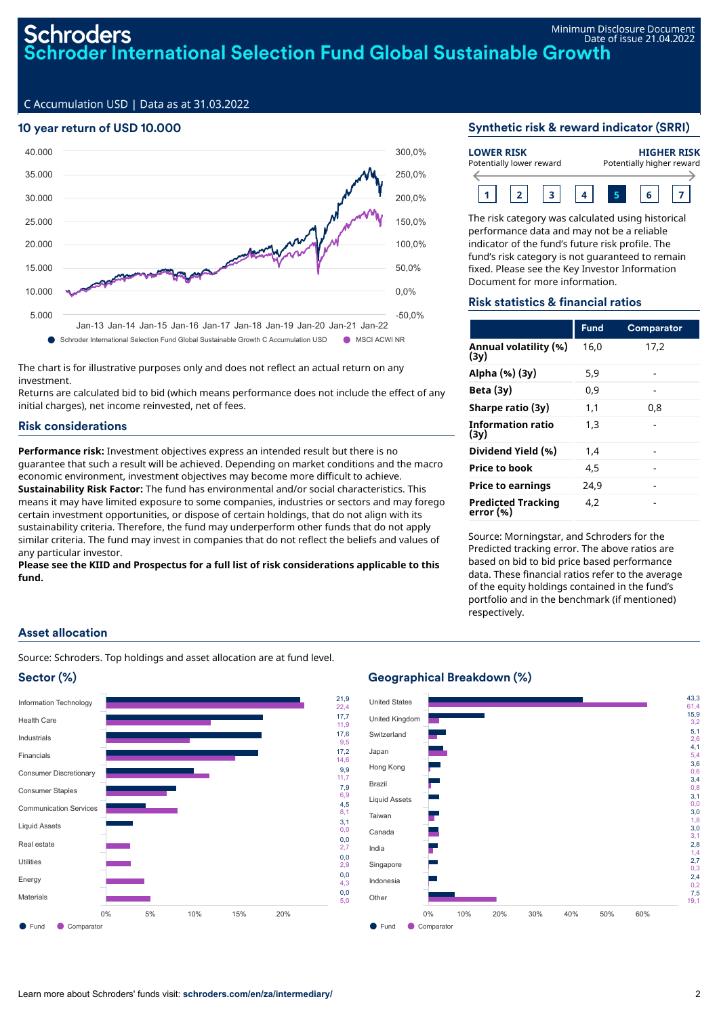### 10 year return of USD 10.000



The chart is for illustrative purposes only and does not reflect an actual return on any investment.

Returns are calculated bid to bid (which means performance does not include the effect of any initial charges), net income reinvested, net of fees.

### Risk considerations

**Performance risk:** Investment objectives express an intended result but there is no guarantee that such a result will be achieved. Depending on market conditions and the macro economic environment, investment objectives may become more difficult to achieve. **Sustainability Risk Factor:** The fund has environmental and/or social characteristics. This means it may have limited exposure to some companies, industries or sectors and may forego certain investment opportunities, or dispose of certain holdings, that do not align with its sustainability criteria. Therefore, the fund may underperform other funds that do not apply similar criteria. The fund may invest in companies that do not reflect the beliefs and values of any particular investor.

**Please see the KIID and Prospectus for a full list of risk considerations applicable to this fund.**

### Synthetic risk & reward indicator (SRRI)

| <b>LOWER RISK</b>        |  |  |  | <b>HIGHER RISK</b>        |  |  |  |
|--------------------------|--|--|--|---------------------------|--|--|--|
| Potentially lower reward |  |  |  | Potentially higher reward |  |  |  |
|                          |  |  |  |                           |  |  |  |

The risk category was calculated using historical performance data and may not be a reliable indicator of the fund's future risk profile. The fund's risk category is not guaranteed to remain fixed. Please see the Key Investor Information Document for more information.

#### Risk statistics & financial ratios

|                                        | <b>Fund</b> | <b>Comparator</b> |
|----------------------------------------|-------------|-------------------|
| Annual volatility (%)<br>(3y)          | 16.0        | 17.2              |
| Alpha (%) (3y)                         | 5.9         |                   |
| Beta $(3y)$                            | 0.9         |                   |
| Sharpe ratio (3y)                      | 1.1         | 0.8               |
| Information ratio<br>(3v)              | 1.3         |                   |
| Dividend Yield (%)                     | 1.4         |                   |
| Price to book                          | 4.5         |                   |
| <b>Price to earnings</b>               | 24.9        |                   |
| <b>Predicted Tracking</b><br>error (%) | 4.2         |                   |

Source: Morningstar, and Schroders for the Predicted tracking error. The above ratios are based on bid to bid price based performance data. These financial ratios refer to the average of the equity holdings contained in the fund's portfolio and in the benchmark (if mentioned) respectively.

## Asset allocation

Source: Schroders. Top holdings and asset allocation are at fund level.





### Geographical Breakdown (%)

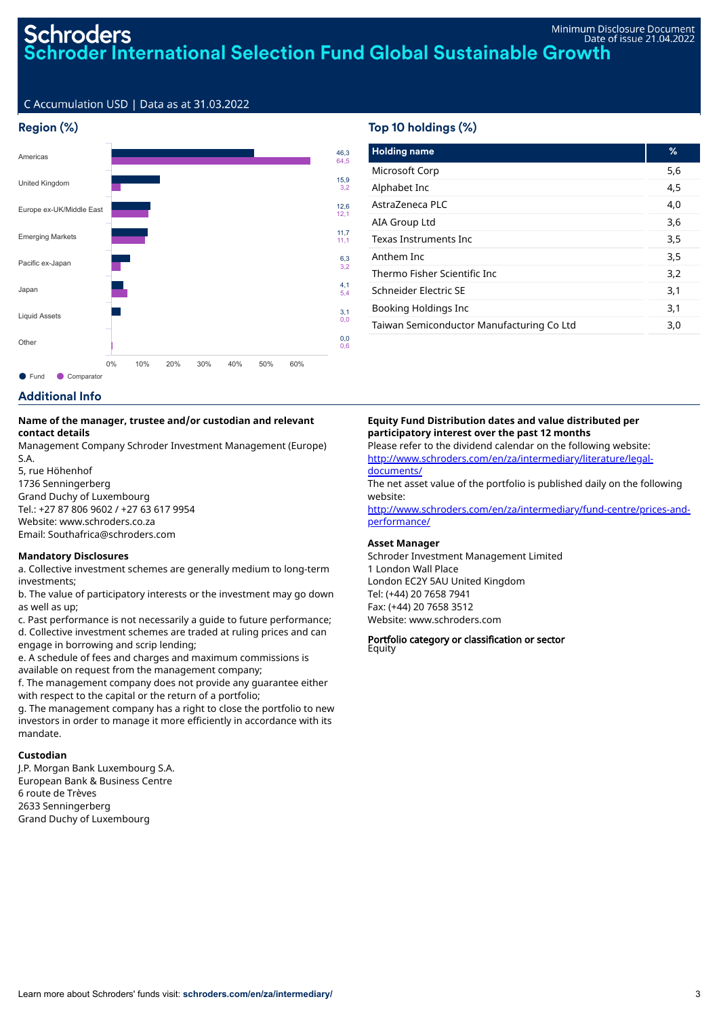## Region (%)



## Top 10 holdings (%)

| <b>Holding name</b>                       | %   |
|-------------------------------------------|-----|
| Microsoft Corp                            | 5,6 |
| Alphabet Inc                              | 4,5 |
| AstraZeneca PLC                           | 4.0 |
| AIA Group Ltd                             | 3,6 |
| Texas Instruments Inc                     | 3,5 |
| Anthem Inc                                | 3,5 |
| Thermo Fisher Scientific Inc              | 3,2 |
| Schneider Flectric SF                     | 3,1 |
| Booking Holdings Inc                      | 3,1 |
| Taiwan Semiconductor Manufacturing Co Ltd | 3,0 |

# Additional Info

#### **Name of the manager, trustee and/or custodian and relevant contact details**

Management Company Schroder Investment Management (Europe) S.A.

5, rue Höhenhof 1736 Senningerberg Grand Duchy of Luxembourg Tel.: +27 87 806 9602 / +27 63 617 9954 Website: www.schroders.co.za Email: Southafrica@schroders.com

#### **Mandatory Disclosures**

a. Collective investment schemes are generally medium to long-term investments;

b. The value of participatory interests or the investment may go down as well as up;

c. Past performance is not necessarily a guide to future performance; d. Collective investment schemes are traded at ruling prices and can engage in borrowing and scrip lending;

e. A schedule of fees and charges and maximum commissions is available on request from the management company;

f. The management company does not provide any guarantee either with respect to the capital or the return of a portfolio;

g. The management company has a right to close the portfolio to new investors in order to manage it more efficiently in accordance with its mandate.

## **Custodian**

J.P. Morgan Bank Luxembourg S.A. European Bank & Business Centre 6 route de Trèves 2633 Senningerberg Grand Duchy of Luxembourg

#### **Equity Fund Distribution dates and value distributed per participatory interest over the past 12 months** Please refer to the dividend calendar on the following website:

[http://www.schroders.com/en/za/intermediary/literature/legal](http://www.schroders.com/en/za/intermediary/literature/legal-documents/)documents/

The net asset value of the portfolio is published daily on the following website:

[http://www.schroders.com/en/za/intermediary/fund-centre/prices-and](http://www.schroders.com/en/za/intermediary/fund-centre/prices-and-performance/)performance/

#### **Asset Manager**

Schroder Investment Management Limited 1 London Wall Place London EC2Y 5AU United Kingdom Tel: (+44) 20 7658 7941 Fax: (+44) 20 7658 3512 Website: www.schroders.com

#### Portfolio category or classification or sector Equity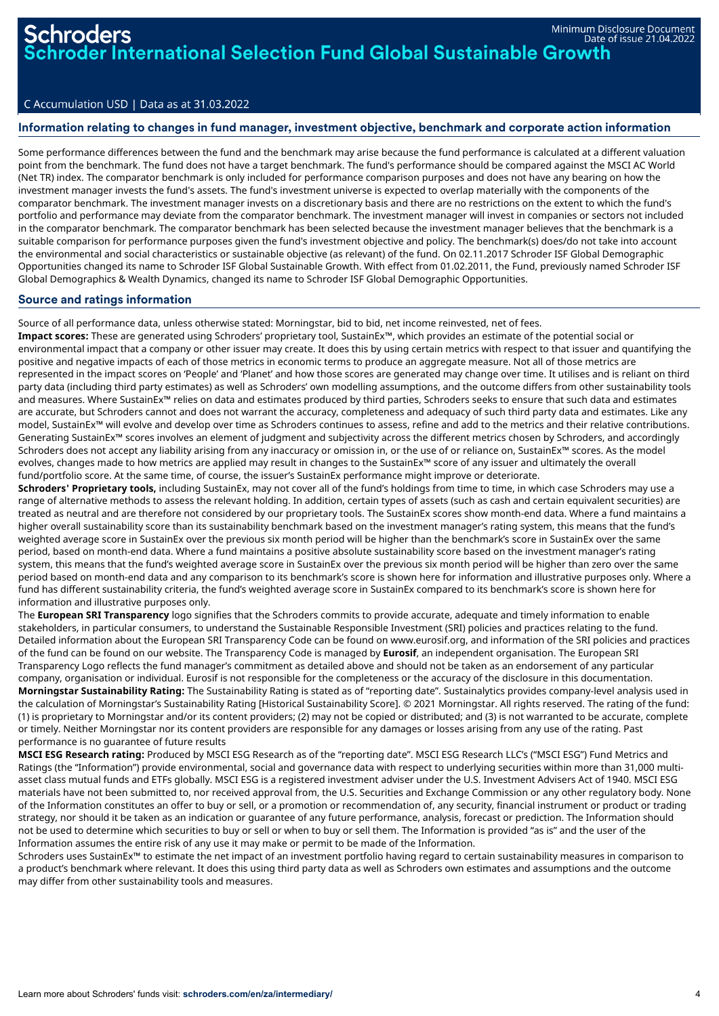### Information relating to changes in fund manager, investment objective, benchmark and corporate action information

Some performance differences between the fund and the benchmark may arise because the fund performance is calculated at a different valuation point from the benchmark. The fund does not have a target benchmark. The fund's performance should be compared against the MSCI AC World (Net TR) index. The comparator benchmark is only included for performance comparison purposes and does not have any bearing on how the investment manager invests the fund's assets. The fund's investment universe is expected to overlap materially with the components of the comparator benchmark. The investment manager invests on a discretionary basis and there are no restrictions on the extent to which the fund's portfolio and performance may deviate from the comparator benchmark. The investment manager will invest in companies or sectors not included in the comparator benchmark. The comparator benchmark has been selected because the investment manager believes that the benchmark is a suitable comparison for performance purposes given the fund's investment objective and policy. The benchmark(s) does/do not take into account the environmental and social characteristics or sustainable objective (as relevant) of the fund. On 02.11.2017 Schroder ISF Global Demographic Opportunities changed its name to Schroder ISF Global Sustainable Growth. With effect from 01.02.2011, the Fund, previously named Schroder ISF Global Demographics & Wealth Dynamics, changed its name to Schroder ISF Global Demographic Opportunities.

### Source and ratings information

Source of all performance data, unless otherwise stated: Morningstar, bid to bid, net income reinvested, net of fees.

**Impact scores:** These are generated using Schroders' proprietary tool, SustainEx™, which provides an estimate of the potential social or environmental impact that a company or other issuer may create. It does this by using certain metrics with respect to that issuer and quantifying the positive and negative impacts of each of those metrics in economic terms to produce an aggregate measure. Not all of those metrics are represented in the impact scores on 'People' and 'Planet' and how those scores are generated may change over time. It utilises and is reliant on third party data (including third party estimates) as well as Schroders' own modelling assumptions, and the outcome differs from other sustainability tools and measures. Where SustainEx™ relies on data and estimates produced by third parties, Schroders seeks to ensure that such data and estimates are accurate, but Schroders cannot and does not warrant the accuracy, completeness and adequacy of such third party data and estimates. Like any model, SustainEx™ will evolve and develop over time as Schroders continues to assess, refine and add to the metrics and their relative contributions. Generating SustainEx™ scores involves an element of judgment and subjectivity across the different metrics chosen by Schroders, and accordingly Schroders does not accept any liability arising from any inaccuracy or omission in, or the use of or reliance on, SustainEx™ scores. As the model evolves, changes made to how metrics are applied may result in changes to the SustainEx™ score of any issuer and ultimately the overall fund/portfolio score. At the same time, of course, the issuer's SustainEx performance might improve or deteriorate.

**Schroders' Proprietary tools,** including SustainEx, may not cover all of the fund's holdings from time to time, in which case Schroders may use a range of alternative methods to assess the relevant holding. In addition, certain types of assets (such as cash and certain equivalent securities) are treated as neutral and are therefore not considered by our proprietary tools. The SustainEx scores show month-end data. Where a fund maintains a higher overall sustainability score than its sustainability benchmark based on the investment manager's rating system, this means that the fund's weighted average score in SustainEx over the previous six month period will be higher than the benchmark's score in SustainEx over the same period, based on month-end data. Where a fund maintains a positive absolute sustainability score based on the investment manager's rating system, this means that the fund's weighted average score in SustainEx over the previous six month period will be higher than zero over the same period based on month-end data and any comparison to its benchmark's score is shown here for information and illustrative purposes only. Where a fund has different sustainability criteria, the fund's weighted average score in SustainEx compared to its benchmark's score is shown here for information and illustrative purposes only.

The **European SRI Transparency** logo signifies that the Schroders commits to provide accurate, adequate and timely information to enable stakeholders, in particular consumers, to understand the Sustainable Responsible Investment (SRI) policies and practices relating to the fund. Detailed information about the European SRI Transparency Code can be found on www.eurosif.org, and information of the SRI policies and practices of the fund can be found on our website. The Transparency Code is managed by **Eurosif**, an independent organisation. The European SRI Transparency Logo reflects the fund manager's commitment as detailed above and should not be taken as an endorsement of any particular company, organisation or individual. Eurosif is not responsible for the completeness or the accuracy of the disclosure in this documentation. **Morningstar Sustainability Rating:** The Sustainability Rating is stated as of "reporting date". Sustainalytics provides company-level analysis used in the calculation of Morningstar's Sustainability Rating [Historical Sustainability Score]. © 2021 Morningstar. All rights reserved. The rating of the fund: (1) is proprietary to Morningstar and/or its content providers; (2) may not be copied or distributed; and (3) is not warranted to be accurate, complete or timely. Neither Morningstar nor its content providers are responsible for any damages or losses arising from any use of the rating. Past performance is no guarantee of future results

**MSCI ESG Research rating:** Produced by MSCI ESG Research as of the "reporting date". MSCI ESG Research LLC's ("MSCI ESG") Fund Metrics and Ratings (the "Information") provide environmental, social and governance data with respect to underlying securities within more than 31,000 multiasset class mutual funds and ETFs globally. MSCI ESG is a registered investment adviser under the U.S. Investment Advisers Act of 1940. MSCI ESG materials have not been submitted to, nor received approval from, the U.S. Securities and Exchange Commission or any other regulatory body. None of the Information constitutes an offer to buy or sell, or a promotion or recommendation of, any security, financial instrument or product or trading strategy, nor should it be taken as an indication or guarantee of any future performance, analysis, forecast or prediction. The Information should not be used to determine which securities to buy or sell or when to buy or sell them. The Information is provided "as is" and the user of the Information assumes the entire risk of any use it may make or permit to be made of the Information.

Schroders uses SustainEx™ to estimate the net impact of an investment portfolio having regard to certain sustainability measures in comparison to a product's benchmark where relevant. It does this using third party data as well as Schroders own estimates and assumptions and the outcome may differ from other sustainability tools and measures.